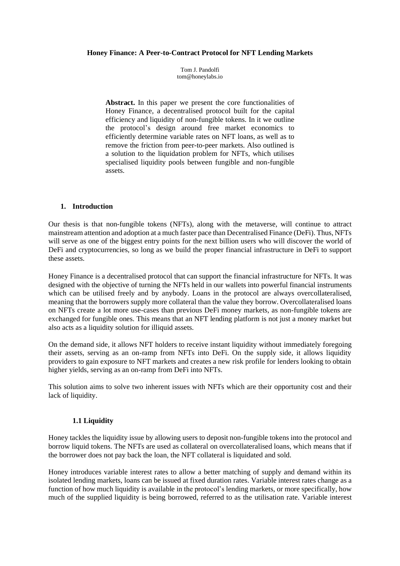#### **Honey Finance: A Peer-to-Contract Protocol for NFT Lending Markets**

Tom J. Pandolfi tom@honeylabs.io

Abstract. In this paper we present the core functionalities of Honey Finance, a decentralised protocol built for the capital efficiency and liquidity of non-fungible tokens. In it we outline the protocol's design around free market economics to efficiently determine variable rates on NFT loans, as well as to remove the friction from peer-to-peer markets. Also outlined is a solution to the liquidation problem for NFTs, which utilises specialised liquidity pools between fungible and non-fungible assets.

### **1. Introduction**

Our thesis is that non-fungible tokens (NFTs), along with the metaverse, will continue to attract mainstream attention and adoption at a much faster pace than Decentralised Finance (DeFi). Thus, NFTs will serve as one of the biggest entry points for the next billion users who will discover the world of DeFi and cryptocurrencies, so long as we build the proper financial infrastructure in DeFi to support these assets.

Honey Finance is a decentralised protocol that can support the financial infrastructure for NFTs. It was designed with the objective of turning the NFTs held in our wallets into powerful financial instruments which can be utilised freely and by anybody. Loans in the protocol are always overcollateralised, meaning that the borrowers supply more collateral than the value they borrow. Overcollateralised loans on NFTs create a lot more use-cases than previous DeFi money markets, as non-fungible tokens are exchanged for fungible ones. This means that an NFT lending platform is not just a money market but also acts as a liquidity solution for illiquid assets.

On the demand side, it allows NFT holders to receive instant liquidity without immediately foregoing their assets, serving as an on-ramp from NFTs into DeFi. On the supply side, it allows liquidity providers to gain exposure to NFT markets and creates a new risk profile for lenders looking to obtain higher yields, serving as an on-ramp from DeFi into NFTs.

This solution aims to solve two inherent issues with NFTs which are their opportunity cost and their lack of liquidity.

### **1.1 Liquidity**

Honey tackles the liquidity issue by allowing users to deposit non-fungible tokens into the protocol and borrow liquid tokens. The NFTs are used as collateral on overcollateralised loans, which means that if the borrower does not pay back the loan, the NFT collateral is liquidated and sold.

Honey introduces variable interest rates to allow a better matching of supply and demand within its isolated lending markets, loans can be issued at fixed duration rates. Variable interest rates change as a function of how much liquidity is available in the protocol's lending markets, or more specifically, how much of the supplied liquidity is being borrowed, referred to as the utilisation rate. Variable interest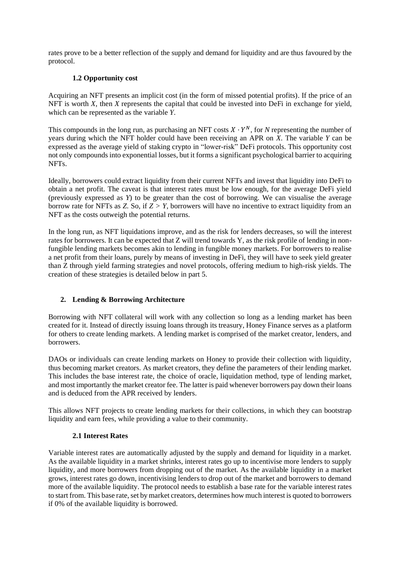rates prove to be a better reflection of the supply and demand for liquidity and are thus favoured by the protocol.

# **1.2 Opportunity cost**

Acquiring an NFT presents an implicit cost (in the form of missed potential profits). If the price of an NFT is worth *X*, then *X* represents the capital that could be invested into DeFi in exchange for yield, which can be represented as the variable *Y*.

This compounds in the long run, as purchasing an NFT costs  $X \cdot Y^N$ , for N representing the number of years during which the NFT holder could have been receiving an APR on *X*. The variable *Y* can be expressed as the average yield of staking crypto in "lower-risk" DeFi protocols. This opportunity cost not only compounds into exponential losses, but it forms a significant psychological barrier to acquiring NFTs.

Ideally, borrowers could extract liquidity from their current NFTs and invest that liquidity into DeFi to obtain a net profit. The caveat is that interest rates must be low enough, for the average DeFi yield (previously expressed as *Y*) to be greater than the cost of borrowing. We can visualise the average borrow rate for NFTs as *Z.* So, if *Z > Y*, borrowers will have no incentive to extract liquidity from an NFT as the costs outweigh the potential returns.

In the long run, as NFT liquidations improve, and as the risk for lenders decreases, so will the interest rates for borrowers. It can be expected that Z will trend towards Y, as the risk profile of lending in nonfungible lending markets becomes akin to lending in fungible money markets. For borrowers to realise a net profit from their loans, purely by means of investing in DeFi, they will have to seek yield greater than Z through yield farming strategies and novel protocols, offering medium to high-risk yields. The creation of these strategies is detailed below in part 5.

# **2. Lending & Borrowing Architecture**

Borrowing with NFT collateral will work with any collection so long as a lending market has been created for it. Instead of directly issuing loans through its treasury, Honey Finance serves as a platform for others to create lending markets. A lending market is comprised of the market creator, lenders, and borrowers.

DAOs or individuals can create lending markets on Honey to provide their collection with liquidity, thus becoming market creators. As market creators, they define the parameters of their lending market. This includes the base interest rate, the choice of oracle, liquidation method, type of lending market, and most importantly the market creator fee. The latter is paid whenever borrowers pay down their loans and is deduced from the APR received by lenders.

This allows NFT projects to create lending markets for their collections, in which they can bootstrap liquidity and earn fees, while providing a value to their community.

# **2.1 Interest Rates**

Variable interest rates are automatically adjusted by the supply and demand for liquidity in a market. As the available liquidity in a market shrinks, interest rates go up to incentivise more lenders to supply liquidity, and more borrowers from dropping out of the market. As the available liquidity in a market grows, interest rates go down, incentivising lenders to drop out of the market and borrowers to demand more of the available liquidity. The protocol needs to establish a base rate for the variable interest rates to start from. This base rate, set by market creators, determines how much interest is quoted to borrowers if 0% of the available liquidity is borrowed.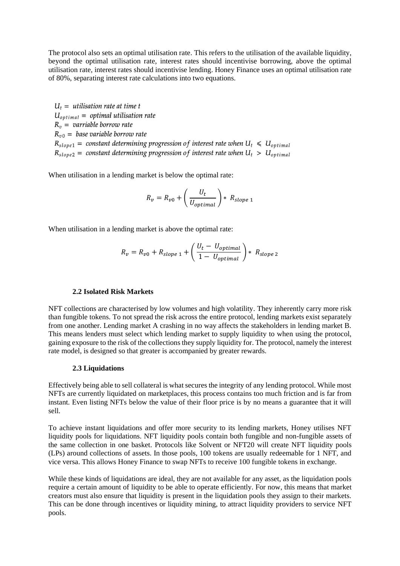The protocol also sets an optimal utilisation rate. This refers to the utilisation of the available liquidity, beyond the optimal utilisation rate, interest rates should incentivise borrowing, above the optimal utilisation rate, interest rates should incentivise lending. Honey Finance uses an optimal utilisation rate of 80%, separating interest rate calculations into two equations.

 $U_t =$  utilisation rate at time t  $U_{optimal}$  = optimal utilisation rate  $R_n =$  varriable borrow rate  $R_{p0}$  = base variable borrow rate  $R_{slope1}$  = constant determining progression of interest rate when  $U_t \le U_{optimal}$  $R_{slope2}$  = constant determining progression of interest rate when  $U_t > U_{optimal}$ 

When utilisation in a lending market is below the optimal rate:

$$
R_v = R_{v0} + \left(\frac{U_t}{U_{optimal}}\right) * R_{slope\ 1}
$$

When utilisation in a lending market is above the optimal rate:

$$
R_v = R_{v0} + R_{slope\ 1} + \left(\frac{U_t - U_{optimal}}{1 - U_{optimal}}\right) * R_{slope\ 2}
$$

#### **2.2 Isolated Risk Markets**

NFT collections are characterised by low volumes and high volatility. They inherently carry more risk than fungible tokens. To not spread the risk across the entire protocol, lending markets exist separately from one another. Lending market A crashing in no way affects the stakeholders in lending market B. This means lenders must select which lending market to supply liquidity to when using the protocol, gaining exposure to the risk of the collections they supply liquidity for. The protocol, namely the interest rate model, is designed so that greater is accompanied by greater rewards.

#### **2.3 Liquidations**

Effectively being able to sell collateral is what secures the integrity of any lending protocol. While most NFTs are currently liquidated on marketplaces, this process contains too much friction and is far from instant. Even listing NFTs below the value of their floor price is by no means a guarantee that it will sell.

To achieve instant liquidations and offer more security to its lending markets, Honey utilises NFT liquidity pools for liquidations. NFT liquidity pools contain both fungible and non-fungible assets of the same collection in one basket. Protocols like Solvent or NFT20 will create NFT liquidity pools (LPs) around collections of assets. In those pools, 100 tokens are usually redeemable for 1 NFT, and vice versa. This allows Honey Finance to swap NFTs to receive 100 fungible tokens in exchange.

While these kinds of liquidations are ideal, they are not available for any asset, as the liquidation pools require a certain amount of liquidity to be able to operate efficiently. For now, this means that market creators must also ensure that liquidity is present in the liquidation pools they assign to their markets. This can be done through incentives or liquidity mining, to attract liquidity providers to service NFT pools.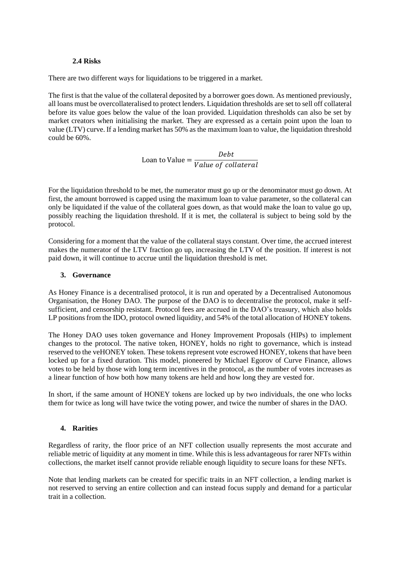### **2.4 Risks**

There are two different ways for liquidations to be triggered in a market.

The first is that the value of the collateral deposited by a borrower goes down. As mentioned previously, all loans must be overcollateralised to protect lenders. Liquidation thresholds are set to sell off collateral before its value goes below the value of the loan provided. Liquidation thresholds can also be set by market creators when initialising the market. They are expressed as a certain point upon the loan to value (LTV) curve. If a lending market has 50% as the maximum loan to value, the liquidation threshold could be 60%.

> Loan to Value = Debt Value of collateral

For the liquidation threshold to be met, the numerator must go up or the denominator must go down. At first, the amount borrowed is capped using the maximum loan to value parameter, so the collateral can only be liquidated if the value of the collateral goes down, as that would make the loan to value go up, possibly reaching the liquidation threshold. If it is met, the collateral is subject to being sold by the protocol.

Considering for a moment that the value of the collateral stays constant. Over time, the accrued interest makes the numerator of the LTV fraction go up, increasing the LTV of the position. If interest is not paid down, it will continue to accrue until the liquidation threshold is met.

## **3. Governance**

As Honey Finance is a decentralised protocol, it is run and operated by a Decentralised Autonomous Organisation, the Honey DAO. The purpose of the DAO is to decentralise the protocol, make it selfsufficient, and censorship resistant. Protocol fees are accrued in the DAO's treasury, which also holds LP positions from the IDO, protocol owned liquidity, and 54% of the total allocation of HONEY tokens.

The Honey DAO uses token governance and Honey Improvement Proposals (HIPs) to implement changes to the protocol. The native token, HONEY, holds no right to governance, which is instead reserved to the veHONEY token. These tokens represent vote escrowed HONEY, tokens that have been locked up for a fixed duration. This model, pioneered by Michael Egorov of Curve Finance, allows votes to be held by those with long term incentives in the protocol, as the number of votes increases as a linear function of how both how many tokens are held and how long they are vested for.

In short, if the same amount of HONEY tokens are locked up by two individuals, the one who locks them for twice as long will have twice the voting power, and twice the number of shares in the DAO.

# **4. Rarities**

Regardless of rarity, the floor price of an NFT collection usually represents the most accurate and reliable metric of liquidity at any moment in time. While this is less advantageous for rarer NFTs within collections, the market itself cannot provide reliable enough liquidity to secure loans for these NFTs.

Note that lending markets can be created for specific traits in an NFT collection, a lending market is not reserved to serving an entire collection and can instead focus supply and demand for a particular trait in a collection.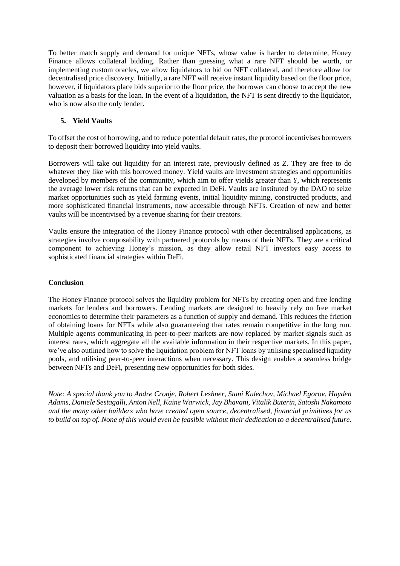To better match supply and demand for unique NFTs, whose value is harder to determine, Honey Finance allows collateral bidding. Rather than guessing what a rare NFT should be worth, or implementing custom oracles, we allow liquidators to bid on NFT collateral, and therefore allow for decentralised price discovery. Initially, a rare NFT will receive instant liquidity based on the floor price, however, if liquidators place bids superior to the floor price, the borrower can choose to accept the new valuation as a basis for the loan. In the event of a liquidation, the NFT is sent directly to the liquidator, who is now also the only lender.

## **5. Yield Vaults**

To offset the cost of borrowing, and to reduce potential default rates, the protocol incentivises borrowers to deposit their borrowed liquidity into yield vaults.

Borrowers will take out liquidity for an interest rate, previously defined as *Z*. They are free to do whatever they like with this borrowed money. Yield vaults are investment strategies and opportunities developed by members of the community, which aim to offer yields greater than *Y*, which represents the average lower risk returns that can be expected in DeFi. Vaults are instituted by the DAO to seize market opportunities such as yield farming events, initial liquidity mining, constructed products, and more sophisticated financial instruments, now accessible through NFTs. Creation of new and better vaults will be incentivised by a revenue sharing for their creators.

Vaults ensure the integration of the Honey Finance protocol with other decentralised applications, as strategies involve composability with partnered protocols by means of their NFTs. They are a critical component to achieving Honey's mission, as they allow retail NFT investors easy access to sophisticated financial strategies within DeFi.

## **Conclusion**

The Honey Finance protocol solves the liquidity problem for NFTs by creating open and free lending markets for lenders and borrowers. Lending markets are designed to heavily rely on free market economics to determine their parameters as a function of supply and demand. This reduces the friction of obtaining loans for NFTs while also guaranteeing that rates remain competitive in the long run. Multiple agents communicating in peer-to-peer markets are now replaced by market signals such as interest rates, which aggregate all the available information in their respective markets. In this paper, we've also outlined how to solve the liquidation problem for NFT loans by utilising specialised liquidity pools, and utilising peer-to-peer interactions when necessary. This design enables a seamless bridge between NFTs and DeFi, presenting new opportunities for both sides.

*Note: A special thank you to Andre Cronje, Robert Leshner, Stani Kulechov, Michael Egorov, Hayden Adams, Daniele Sestagalli, Anton Nell, Kaine Warwick, Jay Bhavani, Vitalik Buterin, Satoshi Nakamoto and the many other builders who have created open source, decentralised, financial primitives for us to build on top of. None of this would even be feasible without their dedication to a decentralised future.*